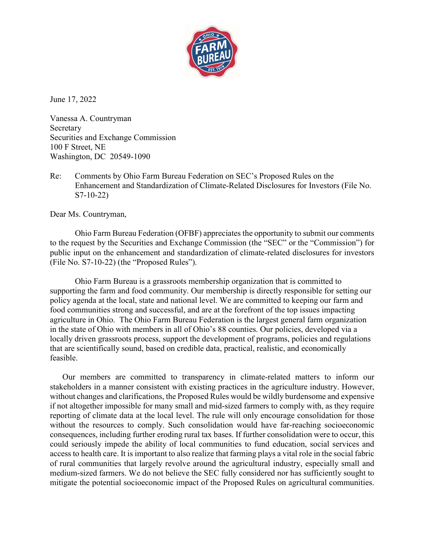

June 17, 2022

Vanessa A. Countryman Secretary Securities and Exchange Commission 100 F Street, NE Washington, DC 20549-1090

Re: Comments by Ohio Farm Bureau Federation on SEC's Proposed Rules on the Enhancement and Standardization of Climate-Related Disclosures for Investors (File No. S7-10-22)

Dear Ms. Countryman,

Ohio Farm Bureau Federation (OFBF) appreciates the opportunity to submit our comments to the request by the Securities and Exchange Commission (the "SEC" or the "Commission") for public input on the enhancement and standardization of climate-related disclosures for investors (File No. S7-10-22) (the "Proposed Rules").

Ohio Farm Bureau is a grassroots membership organization that is committed to supporting the farm and food community. Our membership is directly responsible for setting our policy agenda at the local, state and national level. We are committed to keeping our farm and food communities strong and successful, and are at the forefront of the top issues impacting agriculture in Ohio. The Ohio Farm Bureau Federation is the largest general farm organization in the state of Ohio with members in all of Ohio's 88 counties. Our policies, developed via a locally driven grassroots process, support the development of programs, policies and regulations that are scientifically sound, based on credible data, practical, realistic, and economically feasible.

Our members are committed to transparency in climate-related matters to inform our stakeholders in a manner consistent with existing practices in the agriculture industry. However, without changes and clarifications, the Proposed Rules would be wildly burdensome and expensive if not altogether impossible for many small and mid-sized farmers to comply with, as they require reporting of climate data at the local level. The rule will only encourage consolidation for those without the resources to comply. Such consolidation would have far-reaching socioeconomic consequences, including further eroding rural tax bases. If further consolidation were to occur, this could seriously impede the ability of local communities to fund education, social services and access to health care. It is important to also realize that farming plays a vital role in the social fabric of rural communities that largely revolve around the agricultural industry, especially small and medium-sized farmers. We do not believe the SEC fully considered nor has sufficiently sought to mitigate the potential socioeconomic impact of the Proposed Rules on agricultural communities.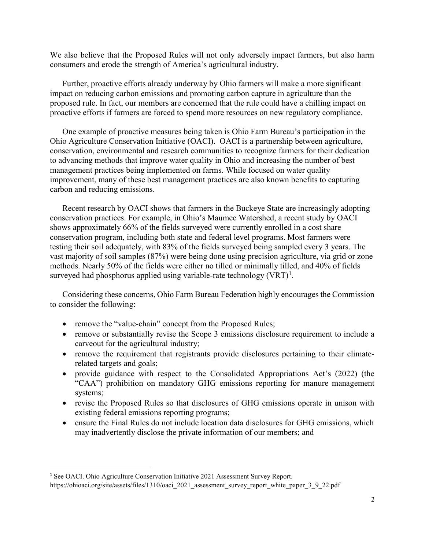We also believe that the Proposed Rules will not only adversely impact farmers, but also harm consumers and erode the strength of America's agricultural industry.

Further, proactive efforts already underway by Ohio farmers will make a more significant impact on reducing carbon emissions and promoting carbon capture in agriculture than the proposed rule. In fact, our members are concerned that the rule could have a chilling impact on proactive efforts if farmers are forced to spend more resources on new regulatory compliance.

One example of proactive measures being taken is Ohio Farm Bureau's participation in the Ohio Agriculture Conservation Initiative (OACI). OACI is a partnership between agriculture, conservation, environmental and research communities to recognize farmers for their dedication to advancing methods that improve water quality in Ohio and increasing the number of best management practices being implemented on farms. While focused on water quality improvement, many of these best management practices are also known benefits to capturing carbon and reducing emissions.

Recent research by OACI shows that farmers in the Buckeye State are increasingly adopting conservation practices. For example, in Ohio's Maumee Watershed, a recent study by OACI shows approximately 66% of the fields surveyed were currently enrolled in a cost share conservation program, including both state and federal level programs. Most farmers were testing their soil adequately, with 83% of the fields surveyed being sampled every 3 years. The vast majority of soil samples (87%) were being done using precision agriculture, via grid or zone methods. Nearly 50% of the fields were either no tilled or minimally tilled, and 40% of fields surveyed had phosphorus applied using variable-rate technology  $(VRT)^1$ .

Considering these concerns, Ohio Farm Bureau Federation highly encourages the Commission to consider the following:

- remove the "value-chain" concept from the Proposed Rules;
- remove or substantially revise the Scope 3 emissions disclosure requirement to include a carveout for the agricultural industry;
- remove the requirement that registrants provide disclosures pertaining to their climaterelated targets and goals;
- provide guidance with respect to the Consolidated Appropriations Act's (2022) (the "CAA") prohibition on mandatory GHG emissions reporting for manure management systems;
- revise the Proposed Rules so that disclosures of GHG emissions operate in unison with existing federal emissions reporting programs;
- ensure the Final Rules do not include location data disclosures for GHG emissions, which may inadvertently disclose the private information of our members; and

<sup>&</sup>lt;sup>1</sup> See OACI. Ohio Agriculture Conservation Initiative 2021 Assessment Survey Report. https://ohioaci.org/site/assets/files/1310/oaci\_2021\_assessment\_survey\_report\_white\_paper\_3\_9\_22.pdf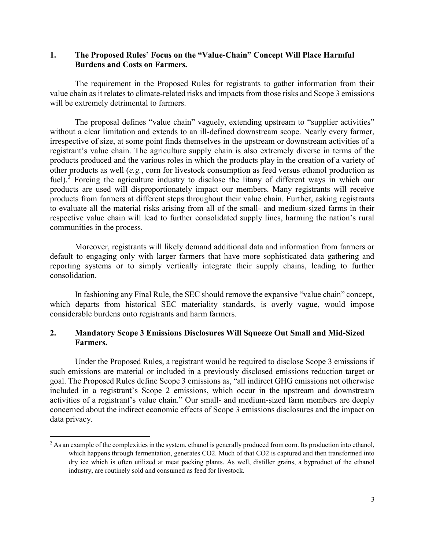## 1. The Proposed Rules' Focus on the "Value-Chain" Concept Will Place Harmful Burdens and Costs on Farmers.

The requirement in the Proposed Rules for registrants to gather information from their value chain as it relates to climate-related risks and impacts from those risks and Scope 3 emissions will be extremely detrimental to farmers.

The proposal defines "value chain" vaguely, extending upstream to "supplier activities" without a clear limitation and extends to an ill-defined downstream scope. Nearly every farmer, irrespective of size, at some point finds themselves in the upstream or downstream activities of a registrant's value chain. The agriculture supply chain is also extremely diverse in terms of the products produced and the various roles in which the products play in the creation of a variety of other products as well (e.g., corn for livestock consumption as feed versus ethanol production as fuel).<sup>2</sup> Forcing the agriculture industry to disclose the litany of different ways in which our products are used will disproportionately impact our members. Many registrants will receive products from farmers at different steps throughout their value chain. Further, asking registrants to evaluate all the material risks arising from all of the small- and medium-sized farms in their respective value chain will lead to further consolidated supply lines, harming the nation's rural communities in the process.

Moreover, registrants will likely demand additional data and information from farmers or default to engaging only with larger farmers that have more sophisticated data gathering and reporting systems or to simply vertically integrate their supply chains, leading to further consolidation.

In fashioning any Final Rule, the SEC should remove the expansive "value chain" concept, which departs from historical SEC materiality standards, is overly vague, would impose considerable burdens onto registrants and harm farmers.

## 2. Mandatory Scope 3 Emissions Disclosures Will Squeeze Out Small and Mid-Sized Farmers.

Under the Proposed Rules, a registrant would be required to disclose Scope 3 emissions if such emissions are material or included in a previously disclosed emissions reduction target or goal. The Proposed Rules define Scope 3 emissions as, "all indirect GHG emissions not otherwise included in a registrant's Scope 2 emissions, which occur in the upstream and downstream activities of a registrant's value chain." Our small- and medium-sized farm members are deeply concerned about the indirect economic effects of Scope 3 emissions disclosures and the impact on data privacy.

<sup>&</sup>lt;sup>2</sup> As an example of the complexities in the system, ethanol is generally produced from corn. Its production into ethanol, which happens through fermentation, generates CO2. Much of that CO2 is captured and then transformed into dry ice which is often utilized at meat packing plants. As well, distiller grains, a byproduct of the ethanol industry, are routinely sold and consumed as feed for livestock.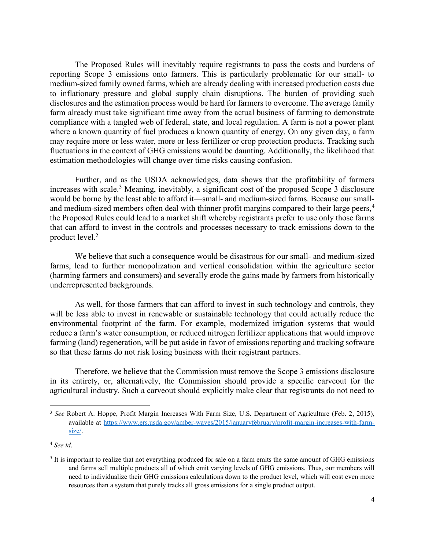The Proposed Rules will inevitably require registrants to pass the costs and burdens of reporting Scope 3 emissions onto farmers. This is particularly problematic for our small- to medium-sized family owned farms, which are already dealing with increased production costs due to inflationary pressure and global supply chain disruptions. The burden of providing such disclosures and the estimation process would be hard for farmers to overcome. The average family farm already must take significant time away from the actual business of farming to demonstrate compliance with a tangled web of federal, state, and local regulation. A farm is not a power plant where a known quantity of fuel produces a known quantity of energy. On any given day, a farm may require more or less water, more or less fertilizer or crop protection products. Tracking such fluctuations in the context of GHG emissions would be daunting. Additionally, the likelihood that estimation methodologies will change over time risks causing confusion.

Further, and as the USDA acknowledges, data shows that the profitability of farmers increases with scale.<sup>3</sup> Meaning, inevitably, a significant cost of the proposed Scope 3 disclosure would be borne by the least able to afford it—small- and medium-sized farms. Because our smalland medium-sized members often deal with thinner profit margins compared to their large peers,<sup>4</sup> the Proposed Rules could lead to a market shift whereby registrants prefer to use only those farms that can afford to invest in the controls and processes necessary to track emissions down to the product level.<sup>5</sup>

We believe that such a consequence would be disastrous for our small- and medium-sized farms, lead to further monopolization and vertical consolidation within the agriculture sector (harming farmers and consumers) and severally erode the gains made by farmers from historically underrepresented backgrounds.

As well, for those farmers that can afford to invest in such technology and controls, they will be less able to invest in renewable or sustainable technology that could actually reduce the environmental footprint of the farm. For example, modernized irrigation systems that would reduce a farm's water consumption, or reduced nitrogen fertilizer applications that would improve farming (land) regeneration, will be put aside in favor of emissions reporting and tracking software so that these farms do not risk losing business with their registrant partners.

Therefore, we believe that the Commission must remove the Scope 3 emissions disclosure in its entirety, or, alternatively, the Commission should provide a specific carveout for the agricultural industry. Such a carveout should explicitly make clear that registrants do not need to

 $\overline{a}$ 

<sup>&</sup>lt;sup>3</sup> See Robert A. Hoppe, Profit Margin Increases With Farm Size, U.S. Department of Agriculture (Feb. 2, 2015), available at https://www.ers.usda.gov/amber-waves/2015/januaryfebruary/profit-margin-increases-with-farmsize/.

<sup>4</sup> See id.

<sup>&</sup>lt;sup>5</sup> It is important to realize that not everything produced for sale on a farm emits the same amount of GHG emissions and farms sell multiple products all of which emit varying levels of GHG emissions. Thus, our members will need to individualize their GHG emissions calculations down to the product level, which will cost even more resources than a system that purely tracks all gross emissions for a single product output.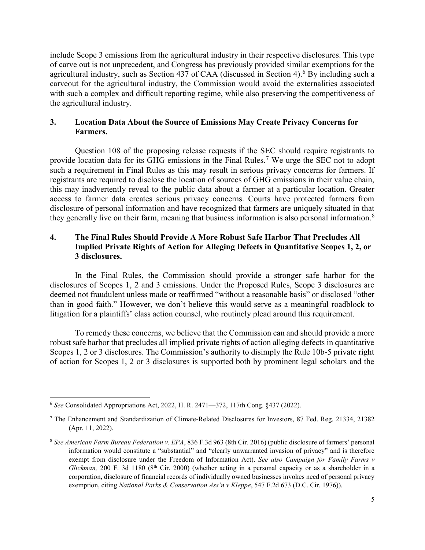include Scope 3 emissions from the agricultural industry in their respective disclosures. This type of carve out is not unprecedent, and Congress has previously provided similar exemptions for the agricultural industry, such as Section 437 of CAA (discussed in Section 4).<sup>6</sup> By including such a carveout for the agricultural industry, the Commission would avoid the externalities associated with such a complex and difficult reporting regime, while also preserving the competitiveness of the agricultural industry.

## 3. Location Data About the Source of Emissions May Create Privacy Concerns for Farmers.

Question 108 of the proposing release requests if the SEC should require registrants to provide location data for its GHG emissions in the Final Rules.<sup>7</sup> We urge the SEC not to adopt such a requirement in Final Rules as this may result in serious privacy concerns for farmers. If registrants are required to disclose the location of sources of GHG emissions in their value chain, this may inadvertently reveal to the public data about a farmer at a particular location. Greater access to farmer data creates serious privacy concerns. Courts have protected farmers from disclosure of personal information and have recognized that farmers are uniquely situated in that they generally live on their farm, meaning that business information is also personal information.<sup>8</sup>

## 4. The Final Rules Should Provide A More Robust Safe Harbor That Precludes All Implied Private Rights of Action for Alleging Defects in Quantitative Scopes 1, 2, or 3 disclosures.

In the Final Rules, the Commission should provide a stronger safe harbor for the disclosures of Scopes 1, 2 and 3 emissions. Under the Proposed Rules, Scope 3 disclosures are deemed not fraudulent unless made or reaffirmed "without a reasonable basis" or disclosed "other than in good faith." However, we don't believe this would serve as a meaningful roadblock to litigation for a plaintiffs' class action counsel, who routinely plead around this requirement.

To remedy these concerns, we believe that the Commission can and should provide a more robust safe harbor that precludes all implied private rights of action alleging defects in quantitative Scopes 1, 2 or 3 disclosures. The Commission's authority to disimply the Rule 10b-5 private right of action for Scopes 1, 2 or 3 disclosures is supported both by prominent legal scholars and the

 $\overline{a}$  $6$  See Consolidated Appropriations Act, 2022, H. R. 2471—372, 117th Cong. §437 (2022).

<sup>7</sup> The Enhancement and Standardization of Climate-Related Disclosures for Investors, 87 Fed. Reg. 21334, 21382 (Apr. 11, 2022).

<sup>8</sup> See American Farm Bureau Federation v. EPA, 836 F.3d 963 (8th Cir. 2016) (public disclosure of farmers' personal information would constitute a "substantial" and "clearly unwarranted invasion of privacy" and is therefore exempt from disclosure under the Freedom of Information Act). See also Campaign for Family Farms v Glickman, 200 F. 3d 1180 (8<sup>th</sup> Cir. 2000) (whether acting in a personal capacity or as a shareholder in a corporation, disclosure of financial records of individually owned businesses invokes need of personal privacy exemption, citing National Parks & Conservation Ass'n v Kleppe, 547 F.2d 673 (D.C. Cir. 1976)).